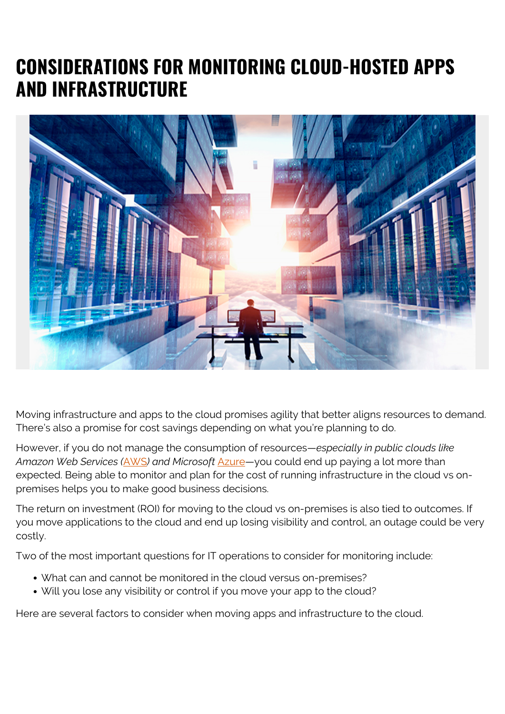# **CONSIDERATIONS FOR MONITORING CLOUD-HOSTED APPS AND INFRASTRUCTURE**



Moving infrastructure and apps to the cloud promises agility that better aligns resources to demand. There's also a promise for cost savings depending on what you're planning to do.

However, if you do not manage the consumption of resources—*especially in public clouds like Amazon Web Services (*[AWS](https://aws.amazon.com/)*) and Microsoft* [Azure](https://azure.microsoft.com/en-us/?v=17.14)—you could end up paying a lot more than expected. Being able to monitor and plan for the cost of running infrastructure in the cloud vs onpremises helps you to make good business decisions.

The return on investment (ROI) for moving to the cloud vs on-premises is also tied to outcomes. If you move applications to the cloud and end up losing visibility and control, an outage could be very costly.

Two of the most important questions for IT operations to consider for monitoring include:

- What can and cannot be monitored in the cloud versus on-premises?
- Will you lose any visibility or control if you move your app to the cloud?

Here are several factors to consider when moving apps and infrastructure to the cloud.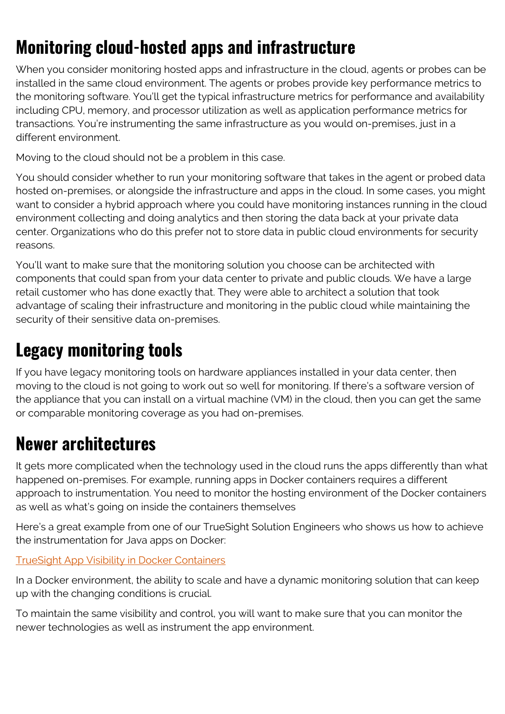# **Monitoring cloud-hosted apps and infrastructure**

When you consider monitoring hosted apps and infrastructure in the cloud, agents or probes can be installed in the same cloud environment. The agents or probes provide key performance metrics to the monitoring software. You'll get the typical infrastructure metrics for performance and availability including CPU, memory, and processor utilization as well as application performance metrics for transactions. You're instrumenting the same infrastructure as you would on-premises, just in a different environment.

Moving to the cloud should not be a problem in this case.

You should consider whether to run your monitoring software that takes in the agent or probed data hosted on-premises, or alongside the infrastructure and apps in the cloud. In some cases, you might want to consider a hybrid approach where you could have monitoring instances running in the cloud environment collecting and doing analytics and then storing the data back at your private data center. Organizations who do this prefer not to store data in public cloud environments for security reasons.

You'll want to make sure that the monitoring solution you choose can be architected with components that could span from your data center to private and public clouds. We have a large retail customer who has done exactly that. They were able to architect a solution that took advantage of scaling their infrastructure and monitoring in the public cloud while maintaining the security of their sensitive data on-premises.

### **Legacy monitoring tools**

If you have legacy monitoring tools on hardware appliances installed in your data center, then moving to the cloud is not going to work out so well for monitoring. If there's a software version of the appliance that you can install on a virtual machine (VM) in the cloud, then you can get the same or comparable monitoring coverage as you had on-premises.

# **Newer architectures**

It gets more complicated when the technology used in the cloud runs the apps differently than what happened on-premises. For example, running apps in Docker containers requires a different approach to instrumentation. You need to monitor the hosting environment of the Docker containers as well as what's going on inside the containers themselves

Here's a great example from one of our TrueSight Solution Engineers who shows us how to achieve the instrumentation for Java apps on Docker:

#### [TrueSight App Visibility in Docker Containers](https://youtu.be/iO9qxvBSVn8)

In a Docker environment, the ability to scale and have a dynamic monitoring solution that can keep up with the changing conditions is crucial.

To maintain the same visibility and control, you will want to make sure that you can monitor the newer technologies as well as instrument the app environment.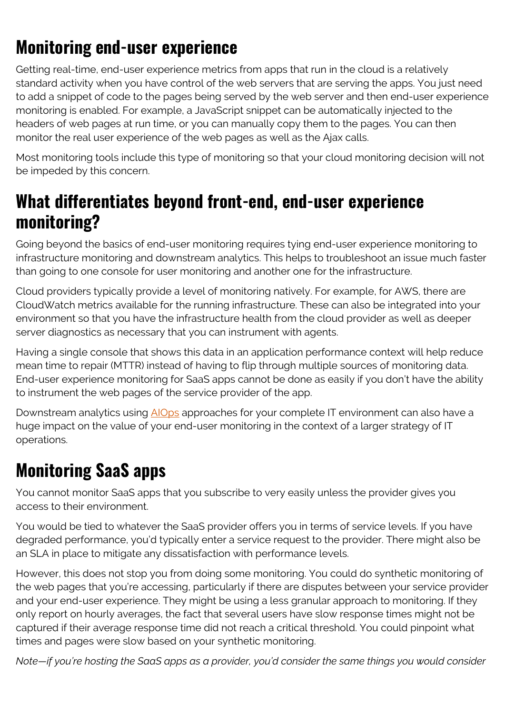# **Monitoring end-user experience**

Getting real-time, end-user experience metrics from apps that run in the cloud is a relatively standard activity when you have control of the web servers that are serving the apps. You just need to add a snippet of code to the pages being served by the web server and then end-user experience monitoring is enabled. For example, a JavaScript snippet can be automatically injected to the headers of web pages at run time, or you can manually copy them to the pages. You can then monitor the real user experience of the web pages as well as the Ajax calls.

Most monitoring tools include this type of monitoring so that your cloud monitoring decision will not be impeded by this concern.

### **What differentiates beyond front-end, end-user experience monitoring?**

Going beyond the basics of end-user monitoring requires tying end-user experience monitoring to infrastructure monitoring and downstream analytics. This helps to troubleshoot an issue much faster than going to one console for user monitoring and another one for the infrastructure.

Cloud providers typically provide a level of monitoring natively. For example, for AWS, there are CloudWatch metrics available for the running infrastructure. These can also be integrated into your environment so that you have the infrastructure health from the cloud provider as well as deeper server diagnostics as necessary that you can instrument with agents.

Having a single console that shows this data in an application performance context will help reduce mean time to repair (MTTR) instead of having to flip through multiple sources of monitoring data. End-user experience monitoring for SaaS apps cannot be done as easily if you don't have the ability to instrument the web pages of the service provider of the app.

Downstream analytics using [AIOps](https://blogs.bmc.com/it-solutions/aiops.html) approaches for your complete IT environment can also have a huge impact on the value of your end-user monitoring in the context of a larger strategy of IT operations.

# **Monitoring SaaS apps**

You cannot monitor SaaS apps that you subscribe to very easily unless the provider gives you access to their environment.

You would be tied to whatever the SaaS provider offers you in terms of service levels. If you have degraded performance, you'd typically enter a service request to the provider. There might also be an SLA in place to mitigate any dissatisfaction with performance levels.

However, this does not stop you from doing some monitoring. You could do synthetic monitoring of the web pages that you're accessing, particularly if there are disputes between your service provider and your end-user experience. They might be using a less granular approach to monitoring. If they only report on hourly averages, the fact that several users have slow response times might not be captured if their average response time did not reach a critical threshold. You could pinpoint what times and pages were slow based on your synthetic monitoring.

*Note—if you're hosting the SaaS apps as a provider, you'd consider the same things you would consider*